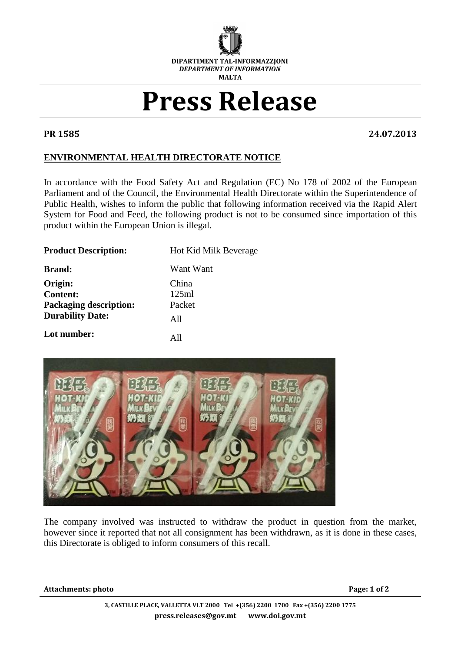

## **Press Release**

**PR 1585 24.07.2013**

## **ENVIRONMENTAL HEALTH DIRECTORATE NOTICE**

In accordance with the Food Safety Act and Regulation (EC) No 178 of 2002 of the European Parliament and of the Council, the Environmental Health Directorate within the Superintendence of Public Health, wishes to inform the public that following information received via the Rapid Alert System for Food and Feed, the following product is not to be consumed since importation of this product within the European Union is illegal.

| <b>Product Description:</b>   | <b>Hot Kid Milk Beverage</b> |
|-------------------------------|------------------------------|
| <b>Brand:</b>                 | Want Want                    |
| Origin:                       | China                        |
| <b>Content:</b>               | 125ml                        |
| <b>Packaging description:</b> | Packet                       |
| <b>Durability Date:</b>       | A11                          |
| Lot number:                   | ΔH                           |



The company involved was instructed to withdraw the product in question from the market, however since it reported that not all consignment has been withdrawn, as it is done in these cases, this Directorate is obliged to inform consumers of this recall.

**Attachments: photo Page: 1 of 2**